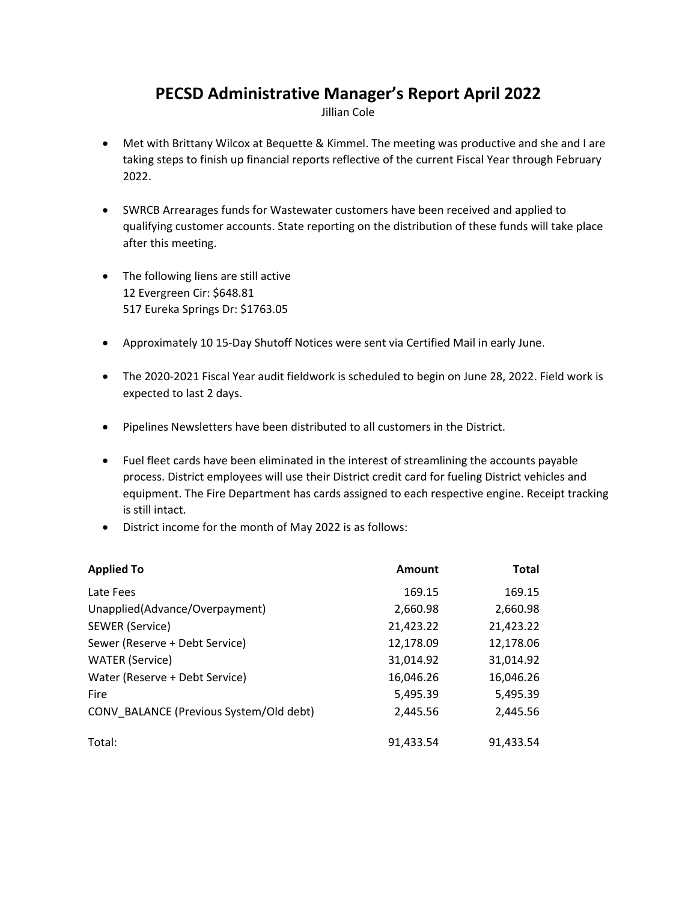## **PECSD Administrative Manager's Report April 2022**

Jillian Cole

- Met with Brittany Wilcox at Bequette & Kimmel. The meeting was productive and she and I are taking steps to finish up financial reports reflective of the current Fiscal Year through February 2022.
- SWRCB Arrearages funds for Wastewater customers have been received and applied to qualifying customer accounts. State reporting on the distribution of these funds will take place after this meeting.
- The following liens are still active 12 Evergreen Cir: \$648.81 517 Eureka Springs Dr: \$1763.05
- Approximately 10 15‐Day Shutoff Notices were sent via Certified Mail in early June.
- The 2020-2021 Fiscal Year audit fieldwork is scheduled to begin on June 28, 2022. Field work is expected to last 2 days.
- Pipelines Newsletters have been distributed to all customers in the District.
- Fuel fleet cards have been eliminated in the interest of streamlining the accounts payable process. District employees will use their District credit card for fueling District vehicles and equipment. The Fire Department has cards assigned to each respective engine. Receipt tracking is still intact.
- District income for the month of May 2022 is as follows:

| <b>Applied To</b>                       | Amount    | <b>Total</b> |
|-----------------------------------------|-----------|--------------|
| Late Fees                               | 169.15    | 169.15       |
| Unapplied(Advance/Overpayment)          | 2,660.98  | 2,660.98     |
| SEWER (Service)                         | 21,423.22 | 21,423.22    |
| Sewer (Reserve + Debt Service)          | 12,178.09 | 12,178.06    |
| <b>WATER</b> (Service)                  | 31,014.92 | 31,014.92    |
| Water (Reserve + Debt Service)          | 16,046.26 | 16,046.26    |
| Fire                                    | 5,495.39  | 5,495.39     |
| CONV BALANCE (Previous System/Old debt) | 2,445.56  | 2,445.56     |
| Total:                                  | 91,433.54 | 91,433.54    |